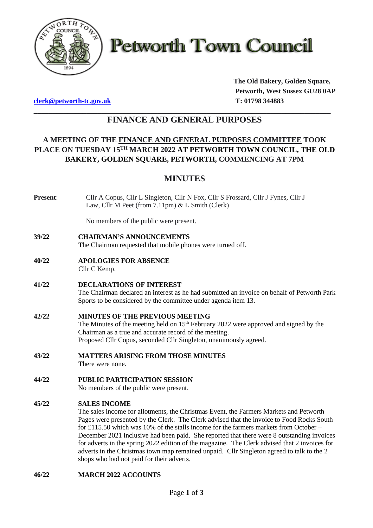

**Petworth Town Council** 

**[clerk@petworth-tc.gov.uk](mailto:clerk@petworth-tc.gov.uk) T: 01798 344883**

**The Old Bakery, Golden Square, Petworth, West Sussex GU28 0AP**

## **\_\_\_\_\_\_\_\_\_\_\_\_\_\_\_\_\_\_\_\_\_\_\_\_\_\_\_\_\_\_\_\_\_\_\_\_\_\_\_\_\_\_\_\_\_\_\_\_\_\_\_\_\_\_\_\_\_\_\_\_\_\_\_\_\_\_\_\_\_\_\_\_\_\_\_\_\_\_\_ FINANCE AND GENERAL PURPOSES**

# **A MEETING OF THE FINANCE AND GENERAL PURPOSES COMMITTEE TOOK PLACE ON TUESDAY 15 TH MARCH 2022 AT PETWORTH TOWN COUNCIL, THE OLD BAKERY, GOLDEN SQUARE, PETWORTH, COMMENCING AT 7PM**

# **MINUTES**

**Present**: Cllr A Copus, Cllr L Singleton, Cllr N Fox, Cllr S Frossard, Cllr J Fynes, Cllr J Law, Cllr M Peet (from 7.11pm) & L Smith (Clerk)

No members of the public were present.

**39/22 CHAIRMAN'S ANNOUNCEMENTS**

The Chairman requested that mobile phones were turned off.

- **40/22 APOLOGIES FOR ABSENCE** Cllr C Kemp.
- **41/22 DECLARATIONS OF INTEREST**

The Chairman declared an interest as he had submitted an invoice on behalf of Petworth Park Sports to be considered by the committee under agenda item 13.

- **42/22 MINUTES OF THE PREVIOUS MEETING** The Minutes of the meeting held on 15<sup>th</sup> February 2022 were approved and signed by the Chairman as a true and accurate record of the meeting. Proposed Cllr Copus, seconded Cllr Singleton, unanimously agreed.
- **43/22 MATTERS ARISING FROM THOSE MINUTES**

There were none.

**44/22 PUBLIC PARTICIPATION SESSION**

No members of the public were present.

## **45/22 SALES INCOME**

The sales income for allotments, the Christmas Event, the Farmers Markets and Petworth Pages were presented by the Clerk. The Clerk advised that the invoice to Food Rocks South for £115.50 which was 10% of the stalls income for the farmers markets from October – December 2021 inclusive had been paid. She reported that there were 8 outstanding invoices for adverts in the spring 2022 edition of the magazine. The Clerk advised that 2 invoices for adverts in the Christmas town map remained unpaid. Cllr Singleton agreed to talk to the 2 shops who had not paid for their adverts.

## **46/22 MARCH 2022 ACCOUNTS**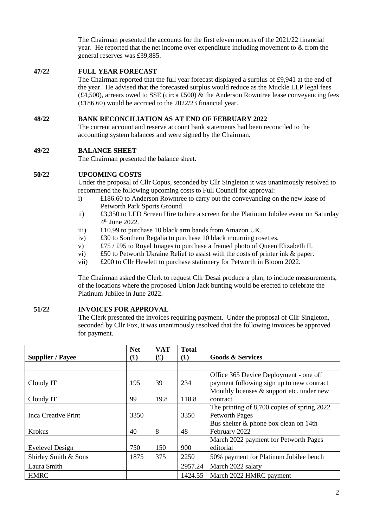The Chairman presented the accounts for the first eleven months of the 2021/22 financial year. He reported that the net income over expenditure including movement to & from the general reserves was £39,885.

### **47/22 FULL YEAR FORECAST**

The Chairman reported that the full year forecast displayed a surplus of £9,941 at the end of the year. He advised that the forecasted surplus would reduce as the Muckle LLP legal fees  $(£4,500)$ , arrears owed to SSE (circa £500) & the Anderson Rowntree lease conveyancing fees (£186.60) would be accrued to the 2022/23 financial year.

#### **48/22 BANK RECONCILIATION AS AT END OF FEBRUARY 2022**

The current account and reserve account bank statements had been reconciled to the accounting system balances and were signed by the Chairman.

#### **49/22 BALANCE SHEET**

The Chairman presented the balance sheet.

#### **50/22 UPCOMING COSTS**

Under the proposal of Cllr Copus, seconded by Cllr Singleton it was unanimously resolved to recommend the following upcoming costs to Full Council for approval:

- i) £186.60 to Anderson Rowntree to carry out the conveyancing on the new lease of Petworth Park Sports Ground.
- ii) £3,350 to LED Screen Hire to hire a screen for the Platinum Jubilee event on Saturday 4 th June 2022.
- iii) £10.99 to purchase 10 black arm bands from Amazon UK.
- iv) £30 to Southern Regalia to purchase 10 black mourning rosettes.
- v) £75 / £95 to Royal Images to purchase a framed photo of Queen Elizabeth II.
- vi)  $\&$  50 to Petworth Ukraine Relief to assist with the costs of printer ink & paper.
- vii) £200 to Cllr Hewlett to purchase stationery for Petworth in Bloom 2022.

The Chairman asked the Clerk to request Cllr Desai produce a plan, to include measurements, of the locations where the proposed Union Jack bunting would be erected to celebrate the Platinum Jubilee in June 2022.

#### **51/22 INVOICES FOR APPROVAL**

The Clerk presented the invoices requiring payment. Under the proposal of Cllr Singleton, seconded by Cllr Fox, it was unanimously resolved that the following invoices be approved for payment.

|                         | <b>Net</b>               | <b>VAT</b>               | <b>Total</b>             |                                             |  |
|-------------------------|--------------------------|--------------------------|--------------------------|---------------------------------------------|--|
| <b>Supplier / Payee</b> | $\mathbf{f}(\mathbf{f})$ | $\mathbf{f}(\mathbf{f})$ | $\mathbf{f}(\mathbf{f})$ | <b>Goods &amp; Services</b>                 |  |
|                         |                          |                          |                          |                                             |  |
|                         |                          |                          |                          | Office 365 Device Deployment - one off      |  |
| Cloudy IT               | 195                      | 39                       | 234                      | payment following sign up to new contract   |  |
|                         |                          |                          |                          | Monthly licenses & support etc. under new   |  |
| Cloudy IT               | 99                       | 19.8                     | 118.8                    | contract                                    |  |
|                         |                          |                          |                          | The printing of 8,700 copies of spring 2022 |  |
| Inca Creative Print     | 3350                     |                          | 3350                     | <b>Petworth Pages</b>                       |  |
|                         |                          |                          |                          | Bus shelter & phone box clean on 14th       |  |
| <b>Krokus</b>           | 40                       | 8                        | 48                       | February 2022                               |  |
|                         |                          |                          |                          | March 2022 payment for Petworth Pages       |  |
| Eyelevel Design         | 750                      | 150                      | 900                      | editorial                                   |  |
| Shirley Smith & Sons    | 1875                     | 375                      | 2250                     | 50% payment for Platinum Jubilee bench      |  |
| Laura Smith             |                          |                          | 2957.24                  | March 2022 salary                           |  |
| <b>HMRC</b>             |                          |                          | 1424.55                  | March 2022 HMRC payment                     |  |